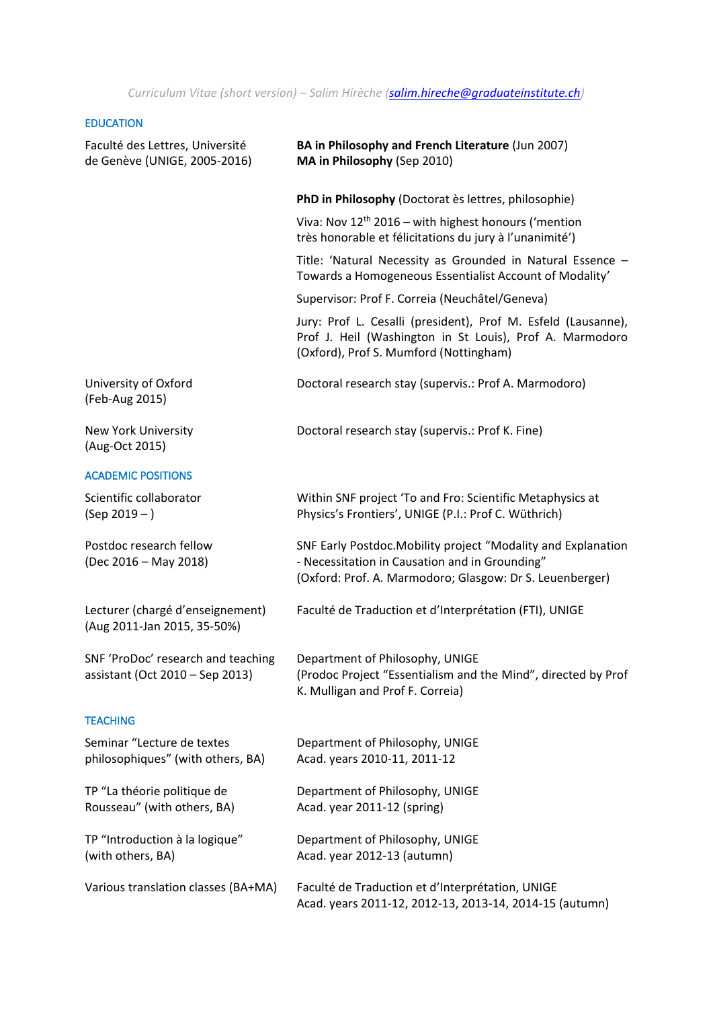*Curriculum Vitae (short version) – Salim Hirèche (salim.hireche@graduateinstitute.ch)*

|  | <b>EDUCATION</b> |  |  |
|--|------------------|--|--|
|  |                  |  |  |

| Faculté des Lettres, Université<br>de Genève (UNIGE, 2005-2016)       | BA in Philosophy and French Literature (Jun 2007)<br>MA in Philosophy (Sep 2010)                                                                                            |
|-----------------------------------------------------------------------|-----------------------------------------------------------------------------------------------------------------------------------------------------------------------------|
|                                                                       | PhD in Philosophy (Doctorat ès lettres, philosophie)                                                                                                                        |
|                                                                       | Viva: Nov 12 <sup>th</sup> 2016 - with highest honours ('mention<br>très honorable et félicitations du jury à l'unanimité')                                                 |
|                                                                       | Title: 'Natural Necessity as Grounded in Natural Essence -<br>Towards a Homogeneous Essentialist Account of Modality'                                                       |
|                                                                       | Supervisor: Prof F. Correia (Neuchâtel/Geneva)                                                                                                                              |
|                                                                       | Jury: Prof L. Cesalli (president), Prof M. Esfeld (Lausanne),<br>Prof J. Heil (Washington in St Louis), Prof A. Marmodoro<br>(Oxford), Prof S. Mumford (Nottingham)         |
| University of Oxford<br>(Feb-Aug 2015)                                | Doctoral research stay (supervis.: Prof A. Marmodoro)                                                                                                                       |
| New York University<br>(Aug-Oct 2015)                                 | Doctoral research stay (supervis.: Prof K. Fine)                                                                                                                            |
| <b>ACADEMIC POSITIONS</b>                                             |                                                                                                                                                                             |
| Scientific collaborator<br>$(Sep 2019 - )$                            | Within SNF project 'To and Fro: Scientific Metaphysics at<br>Physics's Frontiers', UNIGE (P.I.: Prof C. Wüthrich)                                                           |
| Postdoc research fellow<br>(Dec 2016 - May 2018)                      | SNF Early Postdoc. Mobility project "Modality and Explanation<br>- Necessitation in Causation and in Grounding"<br>(Oxford: Prof. A. Marmodoro; Glasgow: Dr S. Leuenberger) |
| Lecturer (chargé d'enseignement)<br>(Aug 2011-Jan 2015, 35-50%)       | Faculté de Traduction et d'Interprétation (FTI), UNIGE                                                                                                                      |
| SNF 'ProDoc' research and teaching<br>assistant (Oct 2010 - Sep 2013) | Department of Philosophy, UNIGE<br>(Prodoc Project "Essentialism and the Mind", directed by Prof<br>K. Mulligan and Prof F. Correia)                                        |
| <b>TEACHING</b>                                                       |                                                                                                                                                                             |
| Seminar "Lecture de textes<br>philosophiques" (with others, BA)       | Department of Philosophy, UNIGE<br>Acad. years 2010-11, 2011-12                                                                                                             |
| TP "La théorie politique de<br>Rousseau" (with others, BA)            | Department of Philosophy, UNIGE<br>Acad. year 2011-12 (spring)                                                                                                              |
| TP "Introduction à la logique"<br>(with others, BA)                   | Department of Philosophy, UNIGE<br>Acad. year 2012-13 (autumn)                                                                                                              |
| Various translation classes (BA+MA)                                   | Faculté de Traduction et d'Interprétation, UNIGE<br>Acad. years 2011-12, 2012-13, 2013-14, 2014-15 (autumn)                                                                 |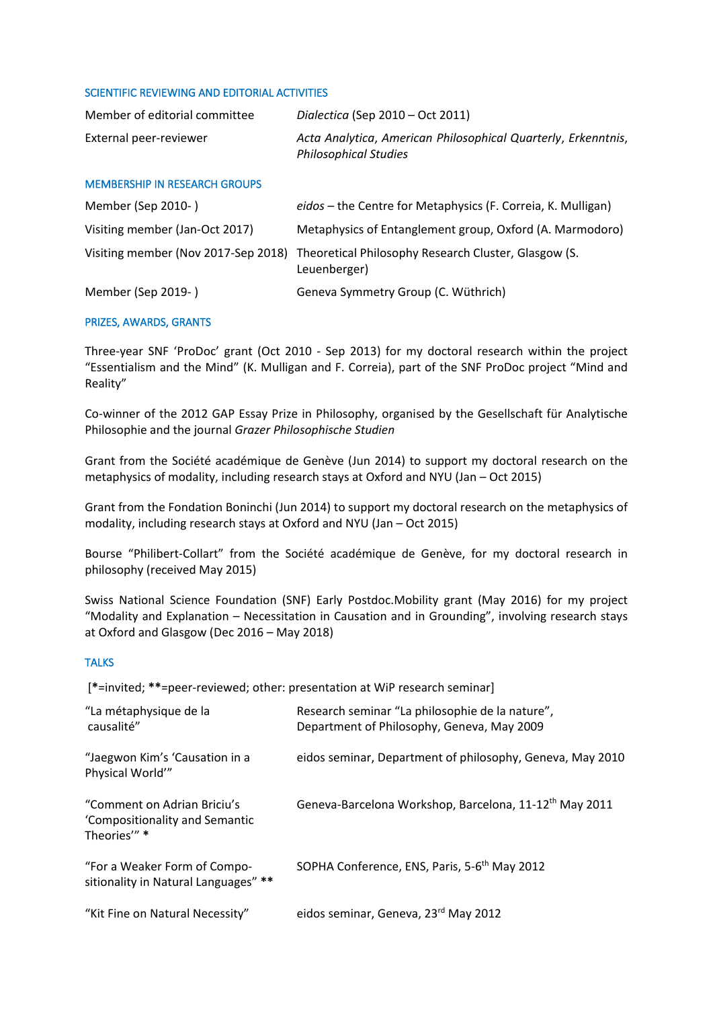## SCIENTIFIC REVIEWING AND EDITORIAL ACTIVITIES

| Member of editorial committee | Dialectica (Sep $2010 - Oct$ 2011)                                                            |
|-------------------------------|-----------------------------------------------------------------------------------------------|
| External peer-reviewer        | Acta Analytica, American Philosophical Quarterly, Erkenntnis,<br><b>Philosophical Studies</b> |

## MEMBERSHIP IN RESEARCH GROUPS

| Member (Sep 2010-)             | eidos - the Centre for Metaphysics (F. Correia, K. Mulligan)                                             |  |
|--------------------------------|----------------------------------------------------------------------------------------------------------|--|
| Visiting member (Jan-Oct 2017) | Metaphysics of Entanglement group, Oxford (A. Marmodoro)                                                 |  |
|                                | Visiting member (Nov 2017-Sep 2018) Theoretical Philosophy Research Cluster, Glasgow (S.<br>Leuenberger) |  |
| Member (Sep 2019-)             | Geneva Symmetry Group (C. Wüthrich)                                                                      |  |

## PRIZES, AWARDS, GRANTS

Three-year SNF 'ProDoc' grant (Oct 2010 - Sep 2013) for my doctoral research within the project "Essentialism and the Mind" (K. Mulligan and F. Correia), part of the SNF ProDoc project "Mind and Reality"

Co-winner of the 2012 GAP Essay Prize in Philosophy, organised by the Gesellschaft für Analytische Philosophie and the journal *Grazer Philosophische Studien*

Grant from the Société académique de Genève (Jun 2014) to support my doctoral research on the metaphysics of modality, including research stays at Oxford and NYU (Jan – Oct 2015)

Grant from the Fondation Boninchi (Jun 2014) to support my doctoral research on the metaphysics of modality, including research stays at Oxford and NYU (Jan – Oct 2015)

Bourse "Philibert-Collart" from the Société académique de Genève, for my doctoral research in philosophy (received May 2015)

Swiss National Science Foundation (SNF) Early Postdoc.Mobility grant (May 2016) for my project "Modality and Explanation – Necessitation in Causation and in Grounding", involving research stays at Oxford and Glasgow (Dec 2016 – May 2018)

## **TALKS**

[**\***=invited; **\*\***=peer-reviewed; other: presentation at WiP research seminar]

| "La métaphysique de la<br>causalité"                                        | Research seminar "La philosophie de la nature",<br>Department of Philosophy, Geneva, May 2009 |
|-----------------------------------------------------------------------------|-----------------------------------------------------------------------------------------------|
| "Jaegwon Kim's 'Causation in a<br>Physical World"                           | eidos seminar, Department of philosophy, Geneva, May 2010                                     |
| "Comment on Adrian Briciu's<br>'Compositionality and Semantic<br>Theories"* | Geneva-Barcelona Workshop, Barcelona, 11-12 <sup>th</sup> May 2011                            |
| "For a Weaker Form of Compo-<br>sitionality in Natural Languages" **        | SOPHA Conference, ENS, Paris, 5-6 <sup>th</sup> May 2012                                      |
| "Kit Fine on Natural Necessity"                                             | eidos seminar, Geneva, 23 <sup>rd</sup> May 2012                                              |